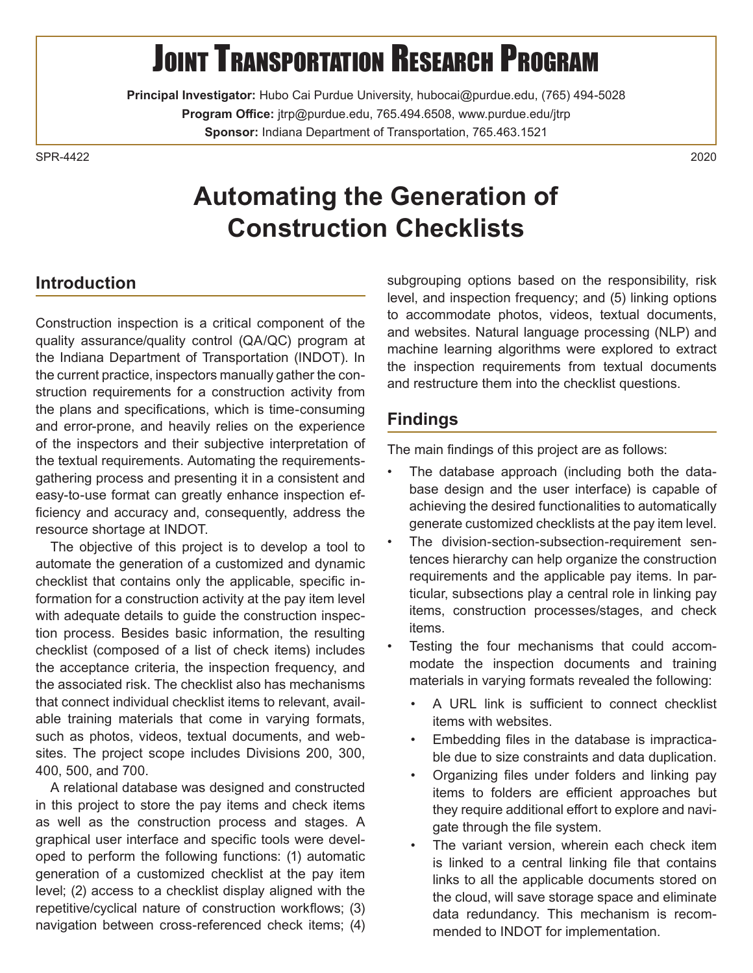#### $\overline{a}$ **JOINT TRANSPORTATION RESEARCH PROGRAM**

**Principal Investigator:** Hubo Cai Purdue University, [hubocai@purdue.edu,](mailto:hubocai@purdue.edu) (765) 494-5028 **Program Office:** [jtrp@purdue.edu,](mailto:jtrp@purdue.edu) 765.494.6508, <www.purdue.edu/jtrp> **Sponsor:** Indiana Department of Transportation, 765.463.1521

SPR-4422  $SPR-4422$  and  $2020$ 

# **Automating the Generation of Construction Checklists**

### **Introduction**

 the textual requirements. Automating the requirements-Construction inspection is a critical component of the quality assurance/quality control (QA/QC) program at the Indiana Department of Transportation (INDOT). In the current practice, inspectors manually gather the construction requirements for a construction activity from the plans and specifications, which is time-consuming and error-prone, and heavily relies on the experience of the inspectors and their subjective interpretation of gathering process and presenting it in a consistent and easy-to-use format can greatly enhance inspection efficiency and accuracy and, consequently, address the resource shortage at INDOT.

 the acceptance criteria, the inspection frequency, and The objective of this project is to develop a tool to automate the generation of a customized and dynamic checklist that contains only the applicable, specific information for a construction activity at the pay item level with adequate details to guide the construction inspection process. Besides basic information, the resulting checklist (composed of a list of check items) includes the associated risk. The checklist also has mechanisms that connect individual checklist items to relevant, available training materials that come in varying formats, such as photos, videos, textual documents, and websites. The project scope includes Divisions 200, 300, 400, 500, and 700.

A relational database was designed and constructed in this project to store the pay items and check items as well as the construction process and stages. A graphical user interface and specific tools were developed to perform the following functions: (1) automatic generation of a customized checklist at the pay item level; (2) access to a checklist display aligned with the repetitive/cyclical nature of construction workflows; (3) navigation between cross-referenced check items; (4)

 subgrouping options based on the responsibility, risk level, and inspection frequency; and (5) linking options to accommodate photos, videos, textual documents, and websites. Natural language processing (NLP) and machine learning algorithms were explored to extract the inspection requirements from textual documents and restructure them into the checklist questions.

### **Findings**

The main findings of this project are as follows:

- The database approach (including both the database design and the user interface) is capable of achieving the desired functionalities to automatically generate customized checklists at the pay item level.
- The division-section-subsection-requirement sentences hierarchy can help organize the construction requirements and the applicable pay items. In particular, subsections play a central role in linking pay items, construction processes/stages, and check items.
	- Testing the four mechanisms that could accommodate the inspection documents and training materials in varying formats revealed the following:
		- A URL link is sufficient to connect checklist items with websites.
		- Embedding files in the database is impracticable due to size constraints and data duplication.
		- Organizing files under folders and linking pay items to folders are efficient approaches but they require additional effort to explore and navigate through the file system.
		- The variant version, wherein each check item is linked to a central linking file that contains links to all the applicable documents stored on the cloud, will save storage space and eliminate data redundancy. This mechanism is recommended to INDOT for implementation.